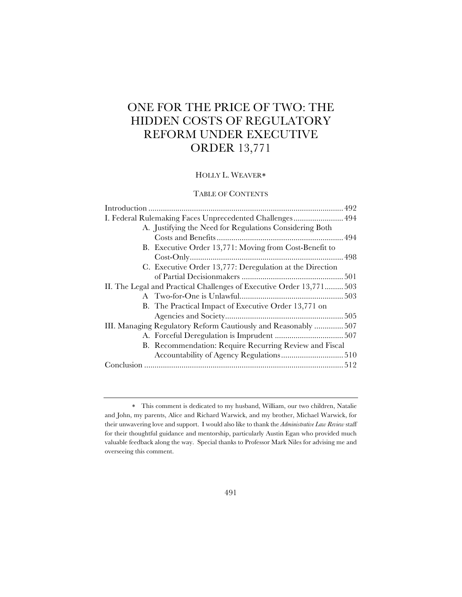# ONE FOR THE PRICE OF TWO: THE HIDDEN COSTS OF REGULATORY REFORM UNDER EXECUTIVE ORDER 13,771

# HOLLY L. WEAVER\*

### TABLE OF CONTENTS

| I. Federal Rulemaking Faces Unprecedented Challenges 494             |  |
|----------------------------------------------------------------------|--|
| A. Justifying the Need for Regulations Considering Both              |  |
|                                                                      |  |
| B. Executive Order 13,771: Moving from Cost-Benefit to               |  |
|                                                                      |  |
| C. Executive Order 13,777: Deregulation at the Direction             |  |
|                                                                      |  |
| II. The Legal and Practical Challenges of Executive Order 13,771 503 |  |
|                                                                      |  |
| B. The Practical Impact of Executive Order 13,771 on                 |  |
|                                                                      |  |
| III. Managing Regulatory Reform Cautiously and Reasonably  507       |  |
|                                                                      |  |
| B. Recommendation: Require Recurring Review and Fiscal               |  |
|                                                                      |  |
|                                                                      |  |
|                                                                      |  |

<sup>\*</sup> This comment is dedicated to my husband, William, our two children, Natalie and John, my parents, Alice and Richard Warwick, and my brother, Michael Warwick, for their unwavering love and support. I would also like to thank the *Administrative Law Review* staff for their thoughtful guidance and mentorship, particularly Austin Egan who provided much valuable feedback along the way. Special thanks to Professor Mark Niles for advising me and overseeing this comment.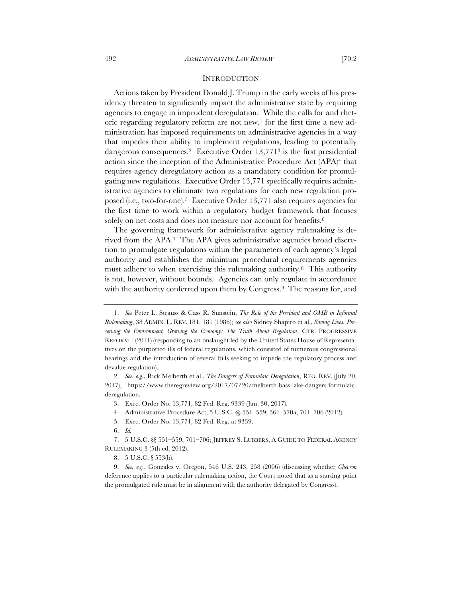### **INTRODUCTION**

Actions taken by President Donald J. Trump in the early weeks of his presidency threaten to significantly impact the administrative state by requiring agencies to engage in imprudent deregulation. While the calls for and rhetoric regarding regulatory reform are not new,<sup>1</sup> for the first time a new administration has imposed requirements on administrative agencies in a way that impedes their ability to implement regulations, leading to potentially dangerous consequences.2 Executive Order 13,7713 is the first presidential action since the inception of the Administrative Procedure Act (APA)4 that requires agency deregulatory action as a mandatory condition for promulgating new regulations. Executive Order 13,771 specifically requires administrative agencies to eliminate two regulations for each new regulation proposed (i.e., two-for-one).5 Executive Order 13,771 also requires agencies for the first time to work within a regulatory budget framework that focuses solely on net costs and does not measure nor account for benefits.<sup>6</sup>

The governing framework for administrative agency rulemaking is derived from the APA.7 The APA gives administrative agencies broad discretion to promulgate regulations within the parameters of each agency's legal authority and establishes the minimum procedural requirements agencies must adhere to when exercising this rulemaking authority.8 This authority is not, however, without bounds. Agencies can only regulate in accordance with the authority conferred upon them by Congress.<sup>9</sup> The reasons for, and

4. Administrative Procedure Act, 5 U.S.C. §§ 551–559, 561–570a, 701–706 (2012).

6. *Id.*

7. 5 U.S.C. §§ 551–559, 701–706; JEFFREY S. LUBBERS, A GUIDE TO FEDERAL AGENCY RULEMAKING 3 (5th ed. 2012).

8. 5 U.S.C. § 553(b).

9. *See, e.g.*, Gonzales v. Oregon, 546 U.S. 243, 258 (2006) (discussing whether *Chevron* deference applies to a particular rulemaking action, the Court noted that as a starting point the promulgated rule must be in alignment with the authority delegated by Congress).

<sup>1.</sup> *See* Peter L. Strauss & Cass R. Sunstein, *The Role of the President and OMB in Informal Rulemaking*, 38 ADMIN. L. REV. 181, 181 (1986); *see also* Sidney Shapiro et al., *Saving Lives, Preserving the Environment, Growing the Economy: The Truth About Regulation*, CTR. PROGRESSIVE REFORM 1 (2011) (responding to an onslaught led by the United States House of Representatives on the purported ills of federal regulations, which consisted of numerous congressional hearings and the introduction of several bills seeking to impede the regulatory process and devalue regulation).

<sup>2.</sup> *See, e.g.*, Rick Melberth et al., *The Dangers of Formulaic Deregulation*, REG. REV. (July 20, 2017), https://www.theregreview.org/2017/07/20/melberth-bass-lake-dangers-formulaicderegulation.

<sup>3.</sup> Exec. Order No. 13,771, 82 Fed. Reg. 9339 (Jan. 30, 2017).

<sup>5.</sup> Exec. Order No. 13,771, 82 Fed. Reg. at 9339.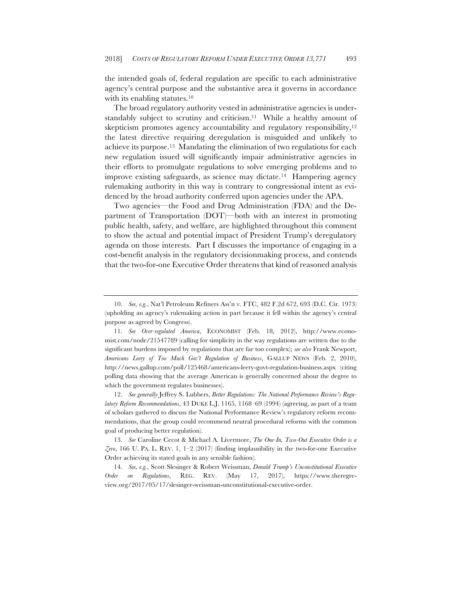the intended goals of, federal regulation are specific to each administrative agency's central purpose and the substantive area it governs in accordance with its enabling statutes.<sup>10</sup>

The broad regulatory authority vested in administrative agencies is understandably subject to scrutiny and criticism.<sup>11</sup> While a healthy amount of skepticism promotes agency accountability and regulatory responsibility,<sup>12</sup> the latest directive requiring deregulation is misguided and unlikely to achieve its purpose.13 Mandating the elimination of two regulations for each new regulation issued will significantly impair administrative agencies in their efforts to promulgate regulations to solve emerging problems and to improve existing safeguards, as science may dictate.14 Hampering agency rulemaking authority in this way is contrary to congressional intent as evidenced by the broad authority conferred upon agencies under the APA.

Two agencies—the Food and Drug Administration (FDA) and the Department of Transportation (DOT)—both with an interest in promoting public health, safety, and welfare, are highlighted throughout this comment to show the actual and potential impact of President Trump's deregulatory agenda on those interests. Part I discusses the importance of engaging in a cost-benefit analysis in the regulatory decisionmaking process, and contends that the two-for-one Executive Order threatens that kind of reasoned analysis

12. *See generally* Jeffrey S. Lubbers, *Better Regulations: The National Performance Review's Regulatory Reform Recommendations*, 43 DUKE L.J. 1165, 1168–69 (1994) (agreeing, as part of a team of scholars gathered to discuss the National Performance Review's regulatory reform recommendations, that the group could recommend neutral procedural reforms with the common goal of producing better regulation).

13. *See* Caroline Cecot & Michael A. Livermore, *The One-In, Two-Out Executive Order is a*   $\zeta$ ero, 166 U. PA. L. REV. 1, 1–2 (2017) (finding implausibility in the two-for-one Executive Order achieving its stated goals in any sensible fashion).

14. *See, e.g.*, Scott Slesinger & Robert Weissman, *Donald Trump's Unconstitutional Executive Order on Regulations*, REG. REV. (May 17, 2017), https://www.theregreview.org/2017/05/17/slesinger-weissman-unconstitutional-executive-order.

<sup>10.</sup> *See, e.g.*, Nat'l Petroleum Refiners Ass'n v. FTC, 482 F.2d 672, 693 (D.C. Cir. 1973) (upholding an agency's rulemaking action in part because it fell within the agency's central purpose as agreed by Congress).

<sup>11.</sup> *See Over-regulated America*, ECONOMIST (Feb. 18, 2012), http://www.economist.com/node/21547789 (calling for simplicity in the way regulations are written due to the significant burdens imposed by regulations that are far too complex); *see also* Frank Newport, *Americans Leery of Too Much Gov't Regulation of Business*, GALLUP NEWS (Feb. 2, 2010), http://news.gallup.com/poll/125468/americans-leery-govt-regulation-business.aspx (citing polling data showing that the average American is generally concerned about the degree to which the government regulates businesses).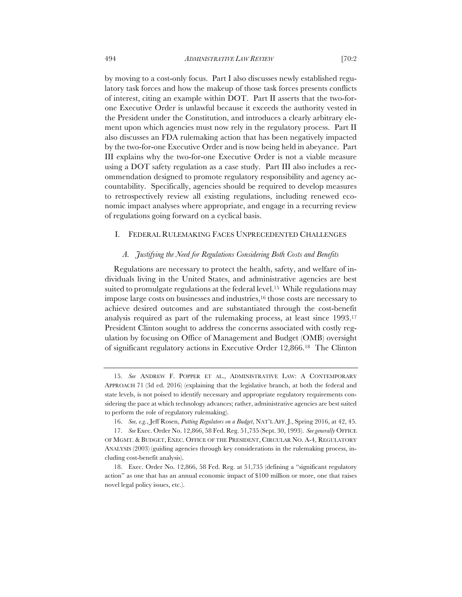by moving to a cost-only focus. Part I also discusses newly established regulatory task forces and how the makeup of those task forces presents conflicts of interest, citing an example within DOT. Part II asserts that the two-forone Executive Order is unlawful because it exceeds the authority vested in the President under the Constitution, and introduces a clearly arbitrary element upon which agencies must now rely in the regulatory process. Part II also discusses an FDA rulemaking action that has been negatively impacted by the two-for-one Executive Order and is now being held in abeyance. Part III explains why the two-for-one Executive Order is not a viable measure using a DOT safety regulation as a case study. Part III also includes a recommendation designed to promote regulatory responsibility and agency accountability. Specifically, agencies should be required to develop measures to retrospectively review all existing regulations, including renewed economic impact analyses where appropriate, and engage in a recurring review of regulations going forward on a cyclical basis.

#### I. FEDERAL RULEMAKING FACES UNPRECEDENTED CHALLENGES

#### *A. Justifying the Need for Regulations Considering Both Costs and Benefits*

Regulations are necessary to protect the health, safety, and welfare of individuals living in the United States, and administrative agencies are best suited to promulgate regulations at the federal level.<sup>15</sup> While regulations may impose large costs on businesses and industries,16 those costs are necessary to achieve desired outcomes and are substantiated through the cost-benefit analysis required as part of the rulemaking process, at least since 1993.17 President Clinton sought to address the concerns associated with costly regulation by focusing on Office of Management and Budget (OMB) oversight of significant regulatory actions in Executive Order 12,866.18 The Clinton

<sup>15.</sup> *See* ANDREW F. POPPER ET AL., ADMINISTRATIVE LAW: A CONTEMPORARY APPROACH 71 (3d ed. 2016) (explaining that the legislative branch, at both the federal and state levels, is not poised to identify necessary and appropriate regulatory requirements considering the pace at which technology advances; rather, administrative agencies are best suited to perform the role of regulatory rulemaking).

<sup>16.</sup> *See, e.g.*, Jeff Rosen, *Putting Regulators on a Budget*, NAT'L AFF. J., Spring 2016, at 42, 45.

<sup>17.</sup> *See* Exec. Order No. 12,866, 58 Fed. Reg. 51,735 (Sept. 30, 1993). *See generally* OFFICE OF MGMT. & BUDGET, EXEC. OFFICE OF THE PRESIDENT, CIRCULAR NO. A-4, REGULATORY ANALYSIS (2003) (guiding agencies through key considerations in the rulemaking process, including cost-benefit analysis).

<sup>18.</sup> Exec. Order No. 12,866, 58 Fed. Reg. at 51,735 (defining a "significant regulatory action" as one that has an annual economic impact of \$100 million or more, one that raises novel legal policy issues, etc.).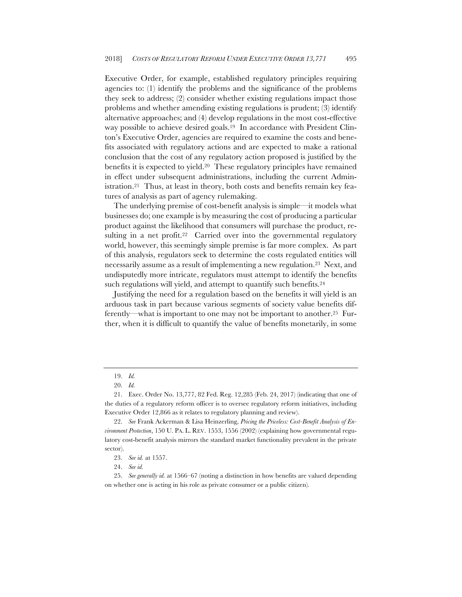Executive Order, for example, established regulatory principles requiring agencies to: (1) identify the problems and the significance of the problems they seek to address; (2) consider whether existing regulations impact those problems and whether amending existing regulations is prudent; (3) identify alternative approaches; and (4) develop regulations in the most cost-effective way possible to achieve desired goals.19 In accordance with President Clinton's Executive Order, agencies are required to examine the costs and benefits associated with regulatory actions and are expected to make a rational conclusion that the cost of any regulatory action proposed is justified by the benefits it is expected to yield.20 These regulatory principles have remained in effect under subsequent administrations, including the current Administration.21 Thus, at least in theory, both costs and benefits remain key features of analysis as part of agency rulemaking.

The underlying premise of cost-benefit analysis is simple—it models what businesses do; one example is by measuring the cost of producing a particular product against the likelihood that consumers will purchase the product, resulting in a net profit.<sup>22</sup> Carried over into the governmental regulatory world, however, this seemingly simple premise is far more complex. As part of this analysis, regulators seek to determine the costs regulated entities will necessarily assume as a result of implementing a new regulation.23 Next, and undisputedly more intricate, regulators must attempt to identify the benefits such regulations will yield, and attempt to quantify such benefits.<sup>24</sup>

Justifying the need for a regulation based on the benefits it will yield is an arduous task in part because various segments of society value benefits differently—what is important to one may not be important to another.25 Further, when it is difficult to quantify the value of benefits monetarily, in some

<sup>19.</sup> *Id.*

<sup>20.</sup> *Id.*

<sup>21.</sup> Exec. Order No. 13,777, 82 Fed. Reg. 12,285 (Feb. 24, 2017) (indicating that one of the duties of a regulatory reform officer is to oversee regulatory reform initiatives, including Executive Order 12,866 as it relates to regulatory planning and review).

<sup>22.</sup> *See* Frank Ackerman & Lisa Heinzerling, *Pricing the Priceless: Cost-Benefit Analysis of Environment Protection*, 150 U. PA. L. REV. 1553, 1556 (2002) (explaining how governmental regulatory cost-benefit analysis mirrors the standard market functionality prevalent in the private sector).

<sup>23.</sup> *See id.* at 1557.

<sup>24.</sup> *See id.*

<sup>25.</sup> *See generally id.* at 1566–67 (noting a distinction in how benefits are valued depending on whether one is acting in his role as private consumer or a public citizen).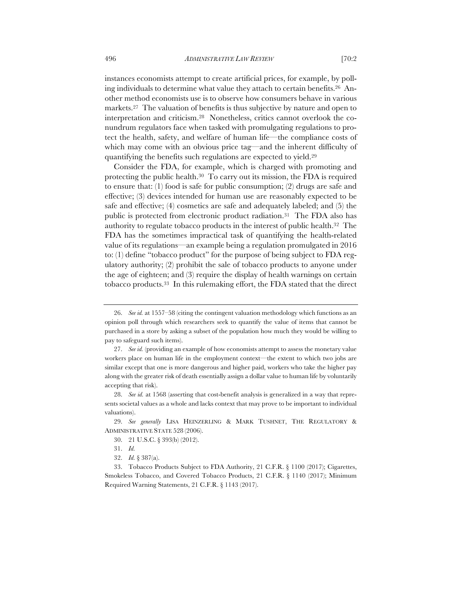instances economists attempt to create artificial prices, for example, by polling individuals to determine what value they attach to certain benefits.26 Another method economists use is to observe how consumers behave in various markets.27 The valuation of benefits is thus subjective by nature and open to interpretation and criticism.28 Nonetheless, critics cannot overlook the conundrum regulators face when tasked with promulgating regulations to protect the health, safety, and welfare of human life—the compliance costs of which may come with an obvious price tag—and the inherent difficulty of quantifying the benefits such regulations are expected to yield.29

Consider the FDA, for example, which is charged with promoting and protecting the public health.30 To carry out its mission, the FDA is required to ensure that: (1) food is safe for public consumption; (2) drugs are safe and effective; (3) devices intended for human use are reasonably expected to be safe and effective; (4) cosmetics are safe and adequately labeled; and (5) the public is protected from electronic product radiation.31 The FDA also has authority to regulate tobacco products in the interest of public health.32 The FDA has the sometimes impractical task of quantifying the health-related value of its regulations—an example being a regulation promulgated in 2016 to: (1) define "tobacco product" for the purpose of being subject to FDA regulatory authority; (2) prohibit the sale of tobacco products to anyone under the age of eighteen; and (3) require the display of health warnings on certain tobacco products.33 In this rulemaking effort, the FDA stated that the direct

<sup>26.</sup> *See id.* at 1557–58 (citing the contingent valuation methodology which functions as an opinion poll through which researchers seek to quantify the value of items that cannot be purchased in a store by asking a subset of the population how much they would be willing to pay to safeguard such items).

<sup>27.</sup> *See id.* (providing an example of how economists attempt to assess the monetary value workers place on human life in the employment context—the extent to which two jobs are similar except that one is more dangerous and higher paid, workers who take the higher pay along with the greater risk of death essentially assign a dollar value to human life by voluntarily accepting that risk).

<sup>28.</sup> *See id.* at 1568 (asserting that cost-benefit analysis is generalized in a way that represents societal values as a whole and lacks context that may prove to be important to individual valuations).

<sup>29.</sup> *See generally* LISA HEINZERLING & MARK TUSHNET, THE REGULATORY & ADMINISTRATIVE STATE 528 (2006).

<sup>30.</sup> 21 U.S.C. § 393(b) (2012).

<sup>31.</sup> *Id.*

<sup>32.</sup> *Id.* § 387(a).

<sup>33.</sup> Tobacco Products Subject to FDA Authority, 21 C.F.R. § 1100 (2017); Cigarettes, Smokeless Tobacco, and Covered Tobacco Products, 21 C.F.R. § 1140 (2017); Minimum Required Warning Statements, 21 C.F.R. § 1143 (2017).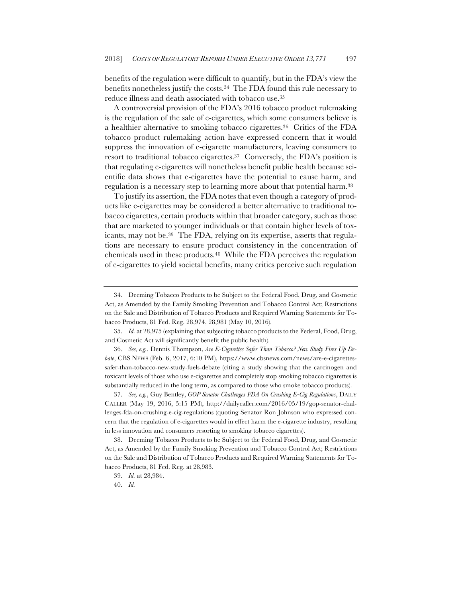benefits of the regulation were difficult to quantify, but in the FDA's view the benefits nonetheless justify the costs.34 The FDA found this rule necessary to reduce illness and death associated with tobacco use.35

A controversial provision of the FDA's 2016 tobacco product rulemaking is the regulation of the sale of e-cigarettes, which some consumers believe is a healthier alternative to smoking tobacco cigarettes.36 Critics of the FDA tobacco product rulemaking action have expressed concern that it would suppress the innovation of e-cigarette manufacturers, leaving consumers to resort to traditional tobacco cigarettes.37 Conversely, the FDA's position is that regulating e-cigarettes will nonetheless benefit public health because scientific data shows that e-cigarettes have the potential to cause harm, and regulation is a necessary step to learning more about that potential harm.38

To justify its assertion, the FDA notes that even though a category of products like e-cigarettes may be considered a better alternative to traditional tobacco cigarettes, certain products within that broader category, such as those that are marketed to younger individuals or that contain higher levels of toxicants, may not be.39 The FDA, relying on its expertise, asserts that regulations are necessary to ensure product consistency in the concentration of chemicals used in these products.40 While the FDA perceives the regulation of e-cigarettes to yield societal benefits, many critics perceive such regulation

36. *See, e.g.*, Dennis Thompson, *Are E-Cigarettes Safer Than Tobacco? New Study Fires Up Debate*, CBS NEWS (Feb. 6, 2017, 6:10 PM), https://www.cbsnews.com/news/are-e-cigarettessafer-than-tobacco-new-study-fuels-debate (citing a study showing that the carcinogen and toxicant levels of those who use e-cigarettes and completely stop smoking tobacco cigarettes is substantially reduced in the long term, as compared to those who smoke tobacco products).

37. *See, e.g.*, Guy Bentley, *GOP Senator Challenges FDA On Crushing E-Cig Regulations*, DAILY CALLER (May 19, 2016, 5:15 PM), http://dailycaller.com/2016/05/19/gop-senator-challenges-fda-on-crushing-e-cig-regulations (quoting Senator Ron Johnson who expressed concern that the regulation of e-cigarettes would in effect harm the e-cigarette industry, resulting in less innovation and consumers resorting to smoking tobacco cigarettes).

38. Deeming Tobacco Products to be Subject to the Federal Food, Drug, and Cosmetic Act, as Amended by the Family Smoking Prevention and Tobacco Control Act; Restrictions on the Sale and Distribution of Tobacco Products and Required Warning Statements for Tobacco Products, 81 Fed. Reg. at 28,983.

40. *Id.*

<sup>34.</sup> Deeming Tobacco Products to be Subject to the Federal Food, Drug, and Cosmetic Act, as Amended by the Family Smoking Prevention and Tobacco Control Act; Restrictions on the Sale and Distribution of Tobacco Products and Required Warning Statements for Tobacco Products, 81 Fed. Reg. 28,974, 28,981 (May 10, 2016).

<sup>35.</sup> *Id.* at 28,975 (explaining that subjecting tobacco products to the Federal, Food, Drug, and Cosmetic Act will significantly benefit the public health).

<sup>39.</sup> *Id.* at 28,984.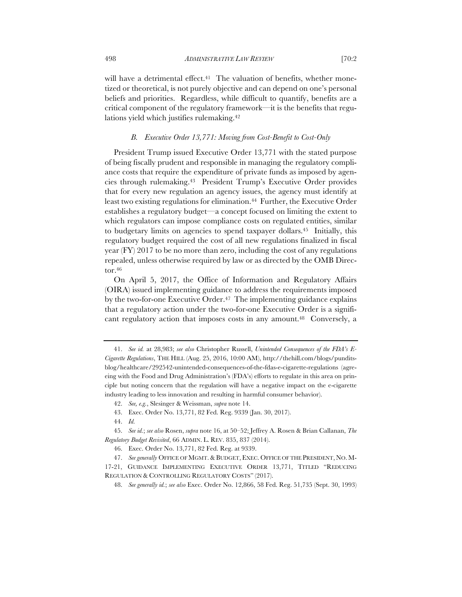will have a detrimental effect.<sup>41</sup> The valuation of benefits, whether monetized or theoretical, is not purely objective and can depend on one's personal beliefs and priorities. Regardless, while difficult to quantify, benefits are a critical component of the regulatory framework—it is the benefits that regulations yield which justifies rulemaking.42

### *B. Executive Order 13,771: Moving from Cost-Benefit to Cost-Only*

President Trump issued Executive Order 13,771 with the stated purpose of being fiscally prudent and responsible in managing the regulatory compliance costs that require the expenditure of private funds as imposed by agencies through rulemaking.43 President Trump's Executive Order provides that for every new regulation an agency issues, the agency must identify at least two existing regulations for elimination.44 Further, the Executive Order establishes a regulatory budget—a concept focused on limiting the extent to which regulators can impose compliance costs on regulated entities, similar to budgetary limits on agencies to spend taxpayer dollars.45 Initially, this regulatory budget required the cost of all new regulations finalized in fiscal year (FY) 2017 to be no more than zero, including the cost of any regulations repealed, unless otherwise required by law or as directed by the OMB Director.46

On April 5, 2017, the Office of Information and Regulatory Affairs (OIRA) issued implementing guidance to address the requirements imposed by the two-for-one Executive Order.<sup>47</sup> The implementing guidance explains that a regulatory action under the two-for-one Executive Order is a significant regulatory action that imposes costs in any amount.<sup>48</sup> Conversely, a

<sup>41.</sup> *See id.* at 28,983; *see also* Christopher Russell, *Unintended Consequences of the FDA's E-Cigarette Regulations*, THE HILL (Aug. 25, 2016, 10:00 AM), http://thehill.com/blogs/punditsblog/healthcare/292542-unintended-consequences-of-the-fdas-e-cigarette-regulations (agreeing with the Food and Drug Administration's (FDA's) efforts to regulate in this area on principle but noting concern that the regulation will have a negative impact on the e-cigarette industry leading to less innovation and resulting in harmful consumer behavior).

<sup>42.</sup> *See, e.g.*, Slesinger & Weissman, *supra* note 14.

<sup>43.</sup> Exec. Order No. 13,771, 82 Fed. Reg. 9339 (Jan. 30, 2017).

<sup>44.</sup> *Id.*

<sup>45.</sup> *See id.*; *see also* Rosen, *supra* note 16, at 50–52; Jeffrey A. Rosen & Brian Callanan, *The Regulatory Budget Revisited*, 66 ADMIN. L. REV. 835, 837 (2014).

<sup>46.</sup> Exec. Order No. 13,771, 82 Fed. Reg. at 9339.

<sup>47.</sup> *See generally* OFFICE OF MGMT.& BUDGET, EXEC. OFFICE OF THE PRESIDENT, NO. M-17-21, GUIDANCE IMPLEMENTING EXECUTIVE ORDER 13,771, TITLED "REDUCING REGULATION & CONTROLLING REGULATORY COSTS" (2017).

<sup>48.</sup> *See generally id.*; *see also* Exec. Order No. 12,866, 58 Fed. Reg. 51,735 (Sept. 30, 1993)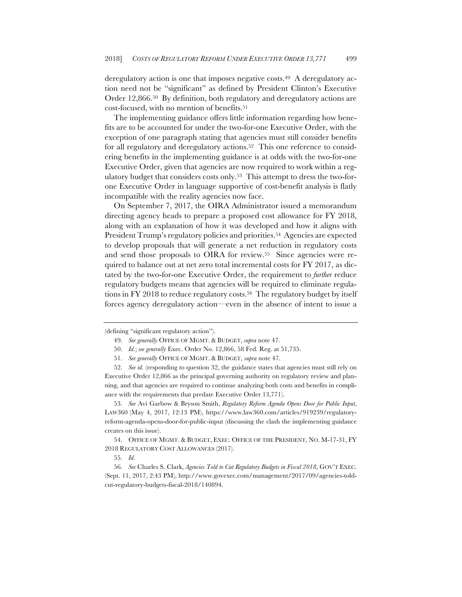deregulatory action is one that imposes negative costs.<sup>49</sup> A deregulatory action need not be "significant" as defined by President Clinton's Executive Order 12,866.50 By definition, both regulatory and deregulatory actions are cost-focused, with no mention of benefits.51

The implementing guidance offers little information regarding how benefits are to be accounted for under the two-for-one Executive Order, with the exception of one paragraph stating that agencies must still consider benefits for all regulatory and deregulatory actions.<sup>52</sup> This one reference to considering benefits in the implementing guidance is at odds with the two-for-one Executive Order, given that agencies are now required to work within a regulatory budget that considers costs only.53 This attempt to dress the two-forone Executive Order in language supportive of cost-benefit analysis is flatly incompatible with the reality agencies now face.

On September 7, 2017, the OIRA Administrator issued a memorandum directing agency heads to prepare a proposed cost allowance for FY 2018, along with an explanation of how it was developed and how it aligns with President Trump's regulatory policies and priorities.<sup>54</sup> Agencies are expected to develop proposals that will generate a net reduction in regulatory costs and send those proposals to OIRA for review.55 Since agencies were required to balance out at net zero total incremental costs for FY 2017, as dictated by the two-for-one Executive Order, the requirement to *further* reduce regulatory budgets means that agencies will be required to eliminate regulations in FY 2018 to reduce regulatory costs.<sup>56</sup> The regulatory budget by itself forces agency deregulatory action—even in the absence of intent to issue a

53. *See* Avi Garbow & Bryson Smith, *Regulatory Reform Agenda Opens Door for Public Input*, LAW360 (May 4, 2017, 12:13 PM), https://www.law360.com/articles/919239/regulatoryreform-agenda-opens-door-for-public-input (discussing the clash the implementing guidance creates on this issue).

54. OFFICE OF MGMT. & BUDGET, EXEC. OFFICE OF THE PRESIDENT, NO. M-17-31, FY 2018 REGULATORY COST ALLOWANCES (2017).

55. *Id.*

56. *See* Charles S. Clark, *Agencies Told to Cut Regulatory Budgets in Fiscal 2018*, GOV'T EXEC. (Sept. 11, 2017, 2:43 PM), http://www.govexec.com/management/2017/09/agencies-toldcut-regulatory-budgets-fiscal-2018/140894.

<sup>(</sup>defining "significant regulatory action").

<sup>49.</sup> *See generally* OFFICE OF MGMT. & BUDGET, *supra* note 47.

<sup>50.</sup> *Id.*; *see generally* Exec. Order No. 12,866, 58 Fed. Reg. at 51,735.

<sup>51.</sup> *See generally* OFFICE OF MGMT. & BUDGET, *supra* note 47.

<sup>52.</sup> *See id.* (responding to question 32, the guidance states that agencies must still rely on Executive Order 12,866 as the principal governing authority on regulatory review and planning, and that agencies are required to continue analyzing both costs and benefits in compliance with the requirements that predate Executive Order 13,771).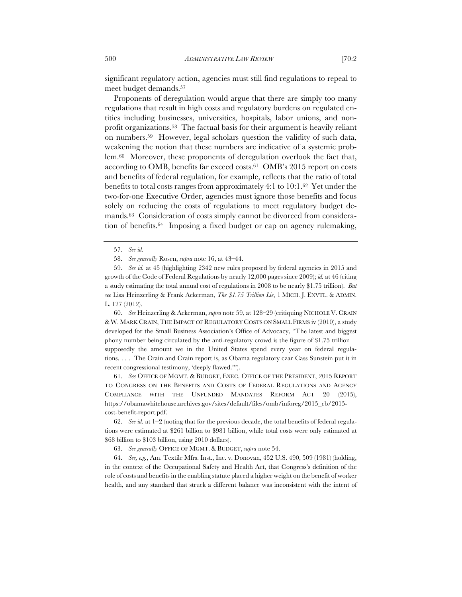significant regulatory action, agencies must still find regulations to repeal to meet budget demands.57

Proponents of deregulation would argue that there are simply too many regulations that result in high costs and regulatory burdens on regulated entities including businesses, universities, hospitals, labor unions, and nonprofit organizations.58 The factual basis for their argument is heavily reliant on numbers.59 However, legal scholars question the validity of such data, weakening the notion that these numbers are indicative of a systemic problem.60 Moreover, these proponents of deregulation overlook the fact that, according to OMB, benefits far exceed costs.61 OMB's 2015 report on costs and benefits of federal regulation, for example, reflects that the ratio of total benefits to total costs ranges from approximately 4:1 to 10:1.62 Yet under the two-for-one Executive Order, agencies must ignore those benefits and focus solely on reducing the costs of regulations to meet regulatory budget demands.63 Consideration of costs simply cannot be divorced from consideration of benefits.64 Imposing a fixed budget or cap on agency rulemaking,

60. *See* Heinzerling & Ackerman, *supra* note 59, at 128–29 (critiquing NICHOLE V. CRAIN & W. MARK CRAIN,THE IMPACT OF REGULATORY COSTS ON SMALL FIRMS iv (2010), a study developed for the Small Business Association's Office of Advocacy, "The latest and biggest phony number being circulated by the anti-regulatory crowd is the figure of \$1.75 trillion supposedly the amount we in the United States spend every year on federal regulations. . . . The Crain and Crain report is, as Obama regulatory czar Cass Sunstein put it in recent congressional testimony, 'deeply flawed.'").

61. *See* OFFICE OF MGMT. & BUDGET, EXEC. OFFICE OF THE PRESIDENT, 2015 REPORT TO CONGRESS ON THE BENEFITS AND COSTS OF FEDERAL REGULATIONS AND AGENCY COMPLIANCE WITH THE UNFUNDED MANDATES REFORM ACT 20 (2015), https://obamawhitehouse.archives.gov/sites/default/files/omb/inforeg/2015\_cb/2015 cost-benefit-report.pdf.

62. *See id.* at  $1-2$  (noting that for the previous decade, the total benefits of federal regulations were estimated at \$261 billion to \$981 billion, while total costs were only estimated at \$68 billion to \$103 billion, using 2010 dollars).

63. *See generally* OFFICE OF MGMT. & BUDGET, *supra* note 54.

64. *See, e.g.*, Am. Textile Mfrs. Inst., Inc. v. Donovan, 452 U.S. 490, 509 (1981) (holding, in the context of the Occupational Safety and Health Act, that Congress's definition of the role of costs and benefits in the enabling statute placed a higher weight on the benefit of worker health, and any standard that struck a different balance was inconsistent with the intent of

<sup>57.</sup> *See id.* 

<sup>58.</sup> *See generally* Rosen, *supra* note 16, at 43–44.

<sup>59.</sup> *See id.* at 45 (highlighting 2342 new rules proposed by federal agencies in 2015 and growth of the Code of Federal Regulations by nearly 12,000 pages since 2009); *id.* at 46 (citing a study estimating the total annual cost of regulations in 2008 to be nearly \$1.75 trillion). *But see* Lisa Heinzerling & Frank Ackerman, *The \$1.75 Trillion Lie*, 1 MICH. J. ENVTL. & ADMIN. L. 127 (2012).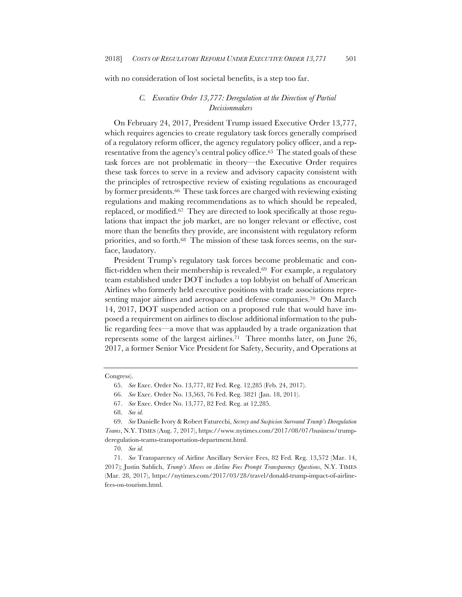with no consideration of lost societal benefits, is a step too far.

## *C. Executive Order 13,777: Deregulation at the Direction of Partial Decisionmakers*

On February 24, 2017, President Trump issued Executive Order 13,777, which requires agencies to create regulatory task forces generally comprised of a regulatory reform officer, the agency regulatory policy officer, and a representative from the agency's central policy office.65 The stated goals of these task forces are not problematic in theory—the Executive Order requires these task forces to serve in a review and advisory capacity consistent with the principles of retrospective review of existing regulations as encouraged by former presidents.66 These task forces are charged with reviewing existing regulations and making recommendations as to which should be repealed, replaced, or modified.67 They are directed to look specifically at those regulations that impact the job market, are no longer relevant or effective, cost more than the benefits they provide, are inconsistent with regulatory reform priorities, and so forth.68 The mission of these task forces seems, on the surface, laudatory.

President Trump's regulatory task forces become problematic and conflict-ridden when their membership is revealed.69 For example, a regulatory team established under DOT includes a top lobbyist on behalf of American Airlines who formerly held executive positions with trade associations representing major airlines and aerospace and defense companies.<sup>70</sup> On March 14, 2017, DOT suspended action on a proposed rule that would have imposed a requirement on airlines to disclose additional information to the public regarding fees—a move that was applauded by a trade organization that represents some of the largest airlines.71 Three months later, on June 26, 2017, a former Senior Vice President for Safety, Security, and Operations at

Congress).

<sup>65.</sup> *See* Exec. Order No. 13,777, 82 Fed. Reg. 12,285 (Feb. 24, 2017).

<sup>66.</sup> *See* Exec. Order No. 13,563, 76 Fed. Reg. 3821 (Jan. 18, 2011).

<sup>67.</sup> *See* Exec. Order No. 13,777, 82 Fed. Reg. at 12,285.

<sup>68.</sup> *See id.* 

<sup>69.</sup> *See* Danielle Ivory & Robert Faturechi, *Secrecy and Suspicion Surround Trump's Deregulation Teams*, N.Y. TIMES (Aug. 7, 2017), https://www.nytimes.com/2017/08/07/business/trumpderegulation-teams-transportation-department.html.

<sup>70.</sup> *See id.*

<sup>71.</sup> *See* Transparency of Airline Ancillary Service Fees, 82 Fed. Reg. 13,572 (Mar. 14, 2017); Justin Sablich, *Trump's Moves on Airline Fees Prompt Transparency Questions*, N.Y. TIMES (Mar. 28, 2017), https://nytimes.com/2017/03/28/travel/donald-trump-impact-of-airlinefees-on-tourism.html.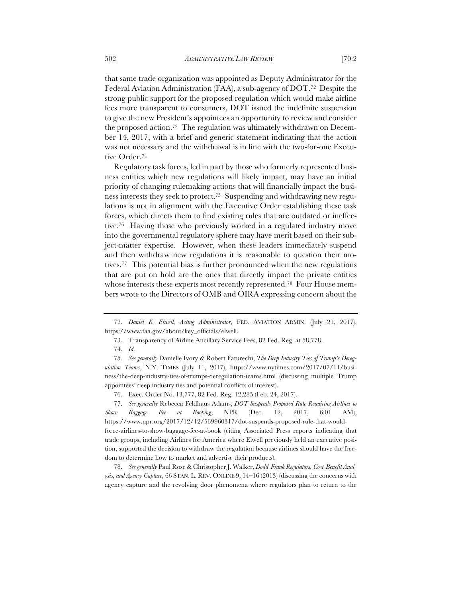that same trade organization was appointed as Deputy Administrator for the Federal Aviation Administration (FAA), a sub-agency of DOT.72 Despite the strong public support for the proposed regulation which would make airline fees more transparent to consumers, DOT issued the indefinite suspension to give the new President's appointees an opportunity to review and consider the proposed action.73 The regulation was ultimately withdrawn on December 14, 2017, with a brief and generic statement indicating that the action was not necessary and the withdrawal is in line with the two-for-one Executive Order.74

Regulatory task forces, led in part by those who formerly represented business entities which new regulations will likely impact, may have an initial priority of changing rulemaking actions that will financially impact the business interests they seek to protect.75 Suspending and withdrawing new regulations is not in alignment with the Executive Order establishing these task forces, which directs them to find existing rules that are outdated or ineffective.76 Having those who previously worked in a regulated industry move into the governmental regulatory sphere may have merit based on their subject-matter expertise. However, when these leaders immediately suspend and then withdraw new regulations it is reasonable to question their motives.77 This potential bias is further pronounced when the new regulations that are put on hold are the ones that directly impact the private entities whose interests these experts most recently represented.<sup>78</sup> Four House members wrote to the Directors of OMB and OIRA expressing concern about the

76. Exec. Order No. 13,777, 82 Fed. Reg. 12,285 (Feb. 24, 2017).

77. *See generally* Rebecca Feldhaus Adams, *DOT Suspends Proposed Rule Requiring Airlines to Show Baggage Fee at Booking*, NPR (Dec. 12, 2017, 6:01 AM), https://www.npr.org/2017/12/12/569960317/dot-suspends-proposed-rule-that-wouldforce-airlines-to-show-baggage-fee-at-book (citing Associated Press reports indicating that trade groups, including Airlines for America where Elwell previously held an executive position, supported the decision to withdraw the regulation because airlines should have the freedom to determine how to market and advertise their products).

78. *See generally* Paul Rose & Christopher J. Walker, *Dodd-Frank Regulators, Cost-Benefit Analysis, and Agency Capture*, 66 STAN. L. REV. ONLINE 9, 14–16 (2013) (discussing the concerns with agency capture and the revolving door phenomena where regulators plan to return to the

<sup>72.</sup> *Daniel K. Elwell, Acting Administrator*, FED. AVIATION ADMIN. (July 21, 2017), https://www.faa.gov/about/key\_officials/elwell.

<sup>73.</sup> Transparency of Airline Ancillary Service Fees, 82 Fed. Reg. at 58,778.

<sup>74.</sup> *Id.*

<sup>75.</sup> *See generally* Danielle Ivory & Robert Faturechi, *The Deep Industry Ties of Trump's Deregulation Teams*, N.Y. TIMES (July 11, 2017), https://www.nytimes.com/2017/07/11/business/the-deep-industry-ties-of-trumps-deregulation-teams.html (discussing multiple Trump appointees' deep industry ties and potential conflicts of interest).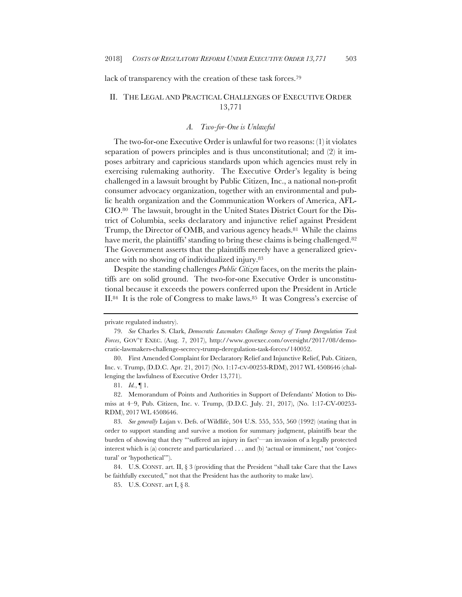lack of transparency with the creation of these task forces.79

# II. THE LEGAL AND PRACTICAL CHALLENGES OF EXECUTIVE ORDER 13,771

### *A. Two-for-One is Unlawful*

The two-for-one Executive Order is unlawful for two reasons: (1) it violates separation of powers principles and is thus unconstitutional; and (2) it imposes arbitrary and capricious standards upon which agencies must rely in exercising rulemaking authority. The Executive Order's legality is being challenged in a lawsuit brought by Public Citizen, Inc., a national non-profit consumer advocacy organization, together with an environmental and public health organization and the Communication Workers of America, AFL-CIO.80 The lawsuit, brought in the United States District Court for the District of Columbia, seeks declaratory and injunctive relief against President Trump, the Director of OMB, and various agency heads.81 While the claims have merit, the plaintiffs' standing to bring these claims is being challenged.<sup>82</sup> The Government asserts that the plaintiffs merely have a generalized grievance with no showing of individualized injury.83

Despite the standing challenges *Public Citizen* faces, on the merits the plaintiffs are on solid ground. The two-for-one Executive Order is unconstitutional because it exceeds the powers conferred upon the President in Article II.84 It is the role of Congress to make laws.85 It was Congress's exercise of

private regulated industry).

<sup>79.</sup> *See* Charles S. Clark, *Democratic Lawmakers Challenge Secrecy of Trump Deregulation Task Forces*, GOV'T EXEC. (Aug. 7, 2017), http://www.govexec.com/oversight/2017/08/democratic-lawmakers-challenge-secrecy-trump-deregulation-task-forces/140052.

<sup>80.</sup> First Amended Complaint for Declaratory Relief and Injunctive Relief, Pub. Citizen, Inc. v. Trump, (D.D.C. Apr. 21, 2017) (NO. 1:17-CV-00253-RDM), 2017 WL 4508646 (challenging the lawfulness of Executive Order 13,771).

<sup>81.</sup> *Id.*, ¶ 1.

<sup>82.</sup> Memorandum of Points and Authorities in Support of Defendants' Motion to Dismiss at 4–9, Pub. Citizen, Inc. v. Trump, (D.D.C. July. 21, 2017), (No. 1:17-CV-00253- RDM), 2017 WL 4508646.

<sup>83.</sup> *See generally* Lujan v. Defs. of Wildlife, 504 U.S. 555, 555, 560 (1992) (stating that in order to support standing and survive a motion for summary judgment, plaintiffs bear the burden of showing that they "'suffered an injury in fact'—an invasion of a legally protected interest which is (a) concrete and particularized . . . and (b) 'actual or imminent,' not 'conjectural' or 'hypothetical'").

<sup>84.</sup> U.S. CONST. art. II, § 3 (providing that the President "shall take Care that the Laws be faithfully executed," not that the President has the authority to make law).

<sup>85.</sup> U.S. CONST. art I, § 8.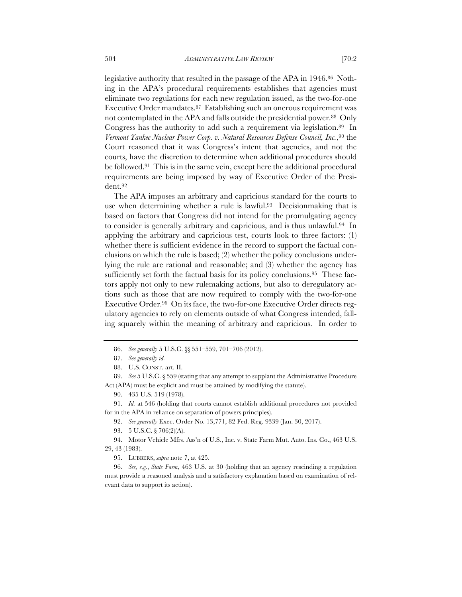legislative authority that resulted in the passage of the APA in 1946.<sup>86</sup> Nothing in the APA's procedural requirements establishes that agencies must eliminate two regulations for each new regulation issued, as the two-for-one Executive Order mandates.87 Establishing such an onerous requirement was not contemplated in the APA and falls outside the presidential power.<sup>88</sup> Only Congress has the authority to add such a requirement via legislation.89 In *Vermont Yankee Nuclear Power Corp. v. Natural Resources Defense Council, Inc.*,90 the Court reasoned that it was Congress's intent that agencies, and not the courts, have the discretion to determine when additional procedures should be followed.91 This is in the same vein, except here the additional procedural requirements are being imposed by way of Executive Order of the President.92

The APA imposes an arbitrary and capricious standard for the courts to use when determining whether a rule is lawful.<sup>93</sup> Decisionmaking that is based on factors that Congress did not intend for the promulgating agency to consider is generally arbitrary and capricious, and is thus unlawful.94 In applying the arbitrary and capricious test, courts look to three factors: (1) whether there is sufficient evidence in the record to support the factual conclusions on which the rule is based; (2) whether the policy conclusions underlying the rule are rational and reasonable; and (3) whether the agency has sufficiently set forth the factual basis for its policy conclusions.95 These factors apply not only to new rulemaking actions, but also to deregulatory actions such as those that are now required to comply with the two-for-one Executive Order.96 On its face, the two-for-one Executive Order directs regulatory agencies to rely on elements outside of what Congress intended, falling squarely within the meaning of arbitrary and capricious. In order to

<sup>86.</sup> *See generally* 5 U.S.C. §§ 551–559, 701–706 (2012).

<sup>87.</sup> *See generally id.*

<sup>88.</sup> U.S. CONST. art. II.

<sup>89.</sup> *See* 5 U.S.C. § 559 (stating that any attempt to supplant the Administrative Procedure Act (APA) must be explicit and must be attained by modifying the statute).

<sup>90.</sup> 435 U.S. 519 (1978).

<sup>91.</sup> *Id.* at 546 (holding that courts cannot establish additional procedures not provided for in the APA in reliance on separation of powers principles).

<sup>92.</sup> *See generally* Exec. Order No. 13,771, 82 Fed. Reg. 9339 (Jan. 30, 2017).

<sup>93.</sup> 5 U.S.C. § 706(2)(A).

<sup>94.</sup> Motor Vehicle Mfrs. Ass'n of U.S., Inc. v. State Farm Mut. Auto. Ins. Co., 463 U.S. 29, 43 (1983).

<sup>95.</sup> LUBBERS, *supra* note 7, at 425.

<sup>96.</sup> *See, e.g.*, *State Farm*, 463 U.S. at 30 (holding that an agency rescinding a regulation must provide a reasoned analysis and a satisfactory explanation based on examination of relevant data to support its action).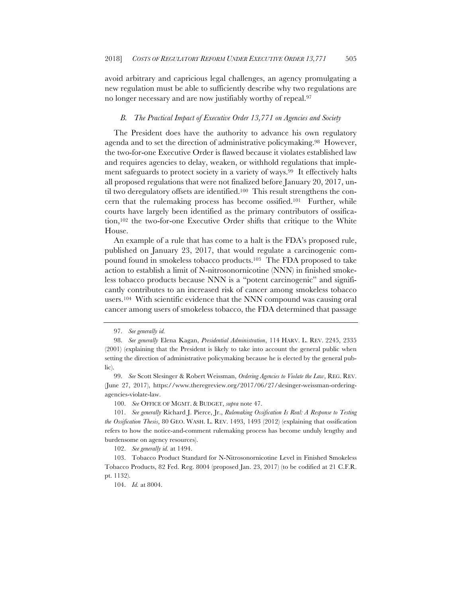avoid arbitrary and capricious legal challenges, an agency promulgating a new regulation must be able to sufficiently describe why two regulations are no longer necessary and are now justifiably worthy of repeal.97

### *B. The Practical Impact of Executive Order 13,771 on Agencies and Society*

The President does have the authority to advance his own regulatory agenda and to set the direction of administrative policymaking.98 However, the two-for-one Executive Order is flawed because it violates established law and requires agencies to delay, weaken, or withhold regulations that implement safeguards to protect society in a variety of ways.<sup>99</sup> It effectively halts all proposed regulations that were not finalized before January 20, 2017, until two deregulatory offsets are identified.<sup>100</sup> This result strengthens the concern that the rulemaking process has become ossified.101 Further, while courts have largely been identified as the primary contributors of ossification,102 the two-for-one Executive Order shifts that critique to the White House.

An example of a rule that has come to a halt is the FDA's proposed rule, published on January 23, 2017, that would regulate a carcinogenic compound found in smokeless tobacco products.103 The FDA proposed to take action to establish a limit of N-nitrosonornicotine (NNN) in finished smokeless tobacco products because NNN is a "potent carcinogenic" and significantly contributes to an increased risk of cancer among smokeless tobacco users.104 With scientific evidence that the NNN compound was causing oral cancer among users of smokeless tobacco, the FDA determined that passage

102. *See generally id.* at 1494.

<sup>97.</sup> *See generally id.*

<sup>98.</sup> *See generally* Elena Kagan, *Presidential Administration*, 114 HARV. L. REV. 2245, 2335 (2001) (explaining that the President is likely to take into account the general public when setting the direction of administrative policymaking because he is elected by the general public).

<sup>99.</sup> *See* Scott Slesinger & Robert Weissman, *Ordering Agencies to Violate the Law*, REG. REV. (June 27, 2017), https://www.theregreview.org/2017/06/27/slesinger-weissman-orderingagencies-violate-law.

<sup>100.</sup> *See* OFFICE OF MGMT. & BUDGET, *supra* note 47.

<sup>101.</sup> *See generally* Richard J. Pierce, Jr., *Rulemaking Ossification Is Real: A Response to Testing the Ossification Thesis*, 80 GEO. WASH. L. REV. 1493, 1493 (2012) (explaining that ossification refers to how the notice-and-comment rulemaking process has become unduly lengthy and burdensome on agency resources).

<sup>103.</sup> Tobacco Product Standard for N-Nitrosonornicotine Level in Finished Smokeless Tobacco Products, 82 Fed. Reg. 8004 (proposed Jan. 23, 2017) (to be codified at 21 C.F.R. pt. 1132).

<sup>104.</sup> *Id.* at 8004.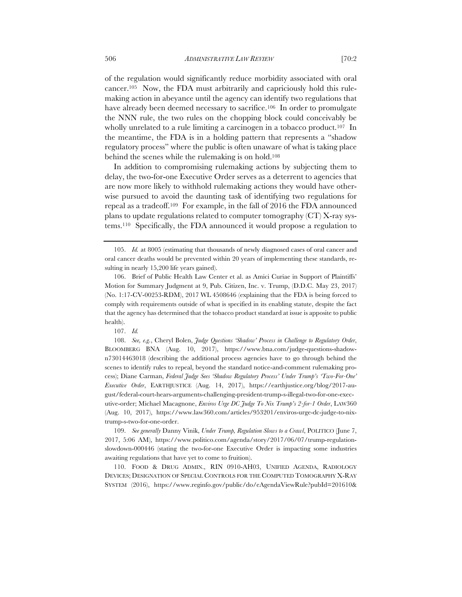of the regulation would significantly reduce morbidity associated with oral cancer.105 Now, the FDA must arbitrarily and capriciously hold this rulemaking action in abeyance until the agency can identify two regulations that have already been deemed necessary to sacrifice.<sup>106</sup> In order to promulgate the NNN rule, the two rules on the chopping block could conceivably be wholly unrelated to a rule limiting a carcinogen in a tobacco product.<sup>107</sup> In the meantime, the FDA is in a holding pattern that represents a "shadow regulatory process" where the public is often unaware of what is taking place behind the scenes while the rulemaking is on hold.108

In addition to compromising rulemaking actions by subjecting them to delay, the two-for-one Executive Order serves as a deterrent to agencies that are now more likely to withhold rulemaking actions they would have otherwise pursued to avoid the daunting task of identifying two regulations for repeal as a tradeoff.109 For example, in the fall of 2016 the FDA announced plans to update regulations related to computer tomography (CT) X-ray systems.110 Specifically, the FDA announced it would propose a regulation to

107. *Id.*

108. *See, e.g.*, Cheryl Bolen, *Judge Questions 'Shadow' Process in Challenge to Regulatory Order*, BLOOMBERG BNA (Aug. 10, 2017), https://www.bna.com/judge-questions-shadown73014463018 (describing the additional process agencies have to go through behind the scenes to identify rules to repeal, beyond the standard notice-and-comment rulemaking process); Diane Carman, *Federal Judge Sees 'Shadow Regulatory Process' Under Trump's 'Two-For-One' Executive Order*, EARTHJUSTICE (Aug. 14, 2017), https://earthjustice.org/blog/2017-august/federal-court-hears-arguments-challenging-president-trump-s-illegal-two-for-one-executive-order; Michael Macagnone, *Enviros Urge DC Judge To Nix Trump's 2-for-1 Order*, LAW360 (Aug. 10, 2017), https://www.law360.com/articles/953201/enviros-urge-dc-judge-to-nixtrump-s-two-for-one-order.

109. *See generally* Danny Vinik, *Under Trump, Regulation Slows to a Crawl*, POLITICO (June 7, 2017, 5:06 AM), https://www.politico.com/agenda/story/2017/06/07/trump-regulationslowdown-000446 (stating the two-for-one Executive Order is impacting some industries awaiting regulations that have yet to come to fruition).

110. FOOD & DRUG ADMIN., RIN 0910-AH03, UNIFIED AGENDA, RADIOLOGY DEVICES; DESIGNATION OF SPECIAL CONTROLS FOR THE COMPUTED TOMOGRAPHY X-RAY SYSTEM (2016), https://www.reginfo.gov/public/do/eAgendaViewRule?pubId=201610&

<sup>105.</sup> *Id.* at 8005 (estimating that thousands of newly diagnosed cases of oral cancer and oral cancer deaths would be prevented within 20 years of implementing these standards, resulting in nearly 15,200 life years gained).

<sup>106.</sup> Brief of Public Health Law Center et al. as Amici Curiae in Support of Plaintiffs' Motion for Summary Judgment at 9, Pub. Citizen, Inc. v. Trump, (D.D.C. May 23, 2017) (No. 1:17-CV-00253-RDM), 2017 WL 4508646 (explaining that the FDA is being forced to comply with requirements outside of what is specified in its enabling statute, despite the fact that the agency has determined that the tobacco product standard at issue is apposite to public health).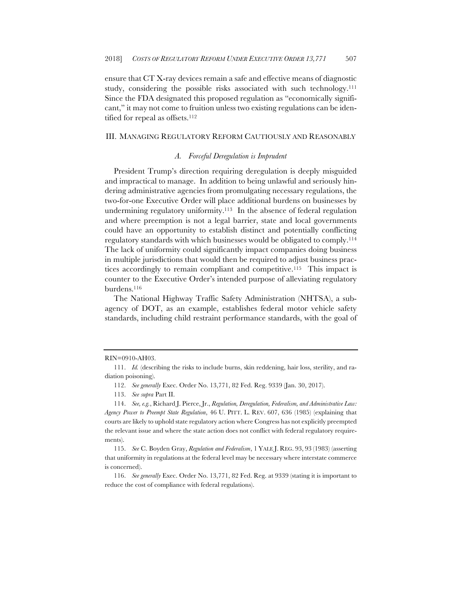ensure that CT X-ray devices remain a safe and effective means of diagnostic study, considering the possible risks associated with such technology.<sup>111</sup> Since the FDA designated this proposed regulation as "economically significant," it may not come to fruition unless two existing regulations can be identified for repeal as offsets.112

### III. MANAGING REGULATORY REFORM CAUTIOUSLY AND REASONABLY

### *A. Forceful Deregulation is Imprudent*

President Trump's direction requiring deregulation is deeply misguided and impractical to manage. In addition to being unlawful and seriously hindering administrative agencies from promulgating necessary regulations, the two-for-one Executive Order will place additional burdens on businesses by undermining regulatory uniformity.113 In the absence of federal regulation and where preemption is not a legal barrier, state and local governments could have an opportunity to establish distinct and potentially conflicting regulatory standards with which businesses would be obligated to comply.114 The lack of uniformity could significantly impact companies doing business in multiple jurisdictions that would then be required to adjust business practices accordingly to remain compliant and competitive.115 This impact is counter to the Executive Order's intended purpose of alleviating regulatory burdens.116

The National Highway Traffic Safety Administration (NHTSA), a subagency of DOT, as an example, establishes federal motor vehicle safety standards, including child restraint performance standards, with the goal of

RIN=0910-AH03.

<sup>111.</sup> *Id.* (describing the risks to include burns, skin reddening, hair loss, sterility, and radiation poisoning).

<sup>112.</sup> *See generally* Exec. Order No. 13,771, 82 Fed. Reg. 9339 (Jan. 30, 2017).

<sup>113.</sup> *See supra* Part II.

<sup>114.</sup> *See, e.g.*, Richard J. Pierce, Jr., *Regulation, Deregulation, Federalism, and Administrative Law: Agency Power to Preempt State Regulation*, 46 U. PITT. L. REV. 607, 636 (1985) (explaining that courts are likely to uphold state regulatory action where Congress has not explicitly preempted the relevant issue and where the state action does not conflict with federal regulatory requirements).

<sup>115.</sup> *See* C. Boyden Gray, *Regulation and Federalism*, 1 YALE J. REG. 93, 93 (1983) (asserting that uniformity in regulations at the federal level may be necessary where interstate commerce is concerned).

<sup>116.</sup> *See generally* Exec. Order No. 13,771, 82 Fed. Reg. at 9339 (stating it is important to reduce the cost of compliance with federal regulations).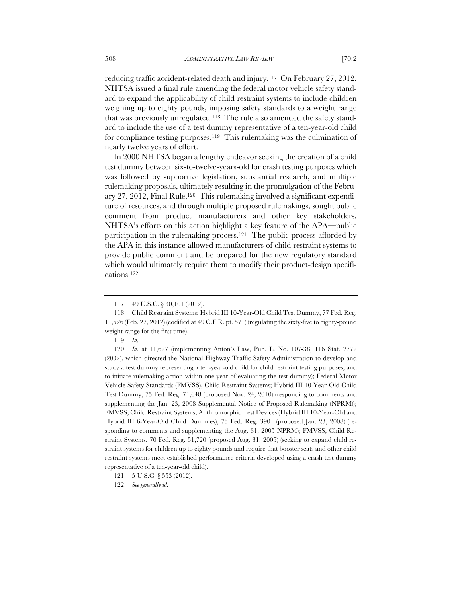reducing traffic accident-related death and injury.117 On February 27, 2012, NHTSA issued a final rule amending the federal motor vehicle safety standard to expand the applicability of child restraint systems to include children weighing up to eighty pounds, imposing safety standards to a weight range that was previously unregulated.118 The rule also amended the safety standard to include the use of a test dummy representative of a ten-year-old child for compliance testing purposes.119 This rulemaking was the culmination of nearly twelve years of effort.

In 2000 NHTSA began a lengthy endeavor seeking the creation of a child test dummy between six-to-twelve-years-old for crash testing purposes which was followed by supportive legislation, substantial research, and multiple rulemaking proposals, ultimately resulting in the promulgation of the February 27, 2012, Final Rule.120 This rulemaking involved a significant expenditure of resources, and through multiple proposed rulemakings, sought public comment from product manufacturers and other key stakeholders. NHTSA's efforts on this action highlight a key feature of the APA—public participation in the rulemaking process.121 The public process afforded by the APA in this instance allowed manufacturers of child restraint systems to provide public comment and be prepared for the new regulatory standard which would ultimately require them to modify their product-design specifications.122

120. *Id.* at 11,627 (implementing Anton's Law, Pub. L. No. 107-38, 116 Stat. 2772 (2002), which directed the National Highway Traffic Safety Administration to develop and study a test dummy representing a ten-year-old child for child restraint testing purposes, and to initiate rulemaking action within one year of evaluating the test dummy); Federal Motor Vehicle Safety Standards (FMVSS), Child Restraint Systems; Hybrid III 10-Year-Old Child Test Dummy, 75 Fed. Reg. 71,648 (proposed Nov. 24, 2010) (responding to comments and supplementing the Jan. 23, 2008 Supplemental Notice of Proposed Rulemaking (NPRM)); FMVSS, Child Restraint Systems; Anthromorphic Test Devices (Hybrid III 10-Year-Old and Hybrid III 6-Year-Old Child Dummies), 73 Fed. Reg. 3901 (proposed Jan. 23, 2008) (responding to comments and supplementing the Aug. 31, 2005 NPRM); FMVSS, Child Restraint Systems, 70 Fed. Reg. 51,720 (proposed Aug. 31, 2005) (seeking to expand child restraint systems for children up to eighty pounds and require that booster seats and other child restraint systems meet established performance criteria developed using a crash test dummy representative of a ten-year-old child).

<sup>117.</sup> 49 U.S.C. § 30,101 (2012).

<sup>118.</sup> Child Restraint Systems; Hybrid III 10-Year-Old Child Test Dummy, 77 Fed. Reg. 11,626 (Feb. 27, 2012) (codified at 49 C.F.R. pt. 571) (regulating the sixty-five to eighty-pound weight range for the first time).

<sup>119.</sup> *Id.*

<sup>121.</sup> 5 U.S.C. § 553 (2012).

<sup>122.</sup> *See generally id.*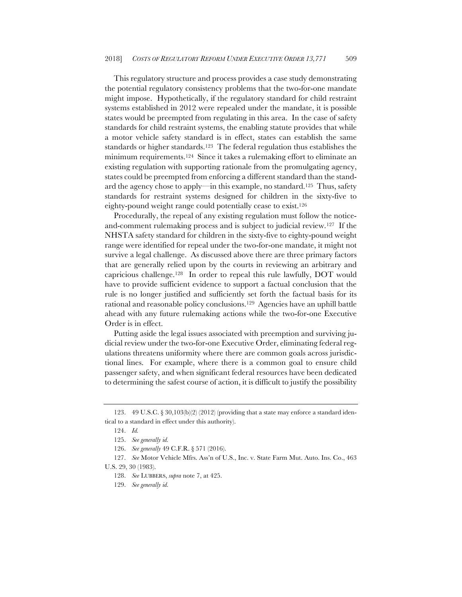This regulatory structure and process provides a case study demonstrating the potential regulatory consistency problems that the two-for-one mandate might impose. Hypothetically, if the regulatory standard for child restraint systems established in 2012 were repealed under the mandate, it is possible states would be preempted from regulating in this area. In the case of safety standards for child restraint systems, the enabling statute provides that while a motor vehicle safety standard is in effect, states can establish the same standards or higher standards.<sup>123</sup> The federal regulation thus establishes the minimum requirements.124 Since it takes a rulemaking effort to eliminate an existing regulation with supporting rationale from the promulgating agency, states could be preempted from enforcing a different standard than the standard the agency chose to apply—in this example, no standard.125 Thus, safety standards for restraint systems designed for children in the sixty-five to eighty-pound weight range could potentially cease to exist.126

Procedurally, the repeal of any existing regulation must follow the noticeand-comment rulemaking process and is subject to judicial review.127 If the NHSTA safety standard for children in the sixty-five to eighty-pound weight range were identified for repeal under the two-for-one mandate, it might not survive a legal challenge. As discussed above there are three primary factors that are generally relied upon by the courts in reviewing an arbitrary and capricious challenge.128 In order to repeal this rule lawfully, DOT would have to provide sufficient evidence to support a factual conclusion that the rule is no longer justified and sufficiently set forth the factual basis for its rational and reasonable policy conclusions.129 Agencies have an uphill battle ahead with any future rulemaking actions while the two-for-one Executive Order is in effect.

Putting aside the legal issues associated with preemption and surviving judicial review under the two-for-one Executive Order, eliminating federal regulations threatens uniformity where there are common goals across jurisdictional lines. For example, where there is a common goal to ensure child passenger safety, and when significant federal resources have been dedicated to determining the safest course of action, it is difficult to justify the possibility

<sup>123.</sup> 49 U.S.C. § 30,103(b)(2) (2012) (providing that a state may enforce a standard identical to a standard in effect under this authority).

<sup>124.</sup> *Id.*

<sup>125.</sup> *See generally id.*

<sup>126.</sup> *See generally* 49 C.F.R. § 571 (2016).

<sup>127.</sup> *See* Motor Vehicle Mfrs. Ass'n of U.S., Inc. v. State Farm Mut. Auto. Ins. Co., 463 U.S. 29, 30 (1983).

<sup>128.</sup> *See* LUBBERS, *supra* note 7, at 425.

<sup>129.</sup> *See generally id.*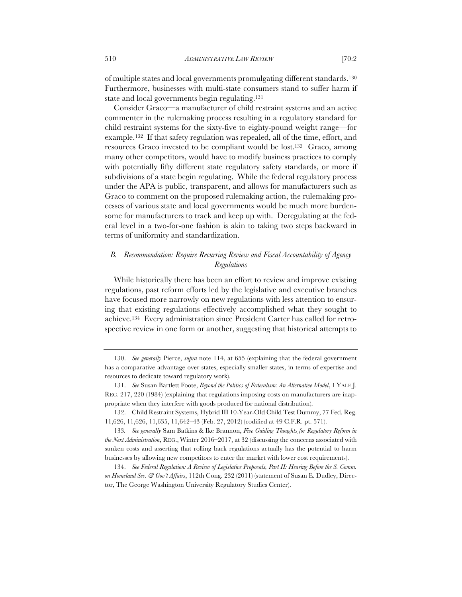of multiple states and local governments promulgating different standards.130 Furthermore, businesses with multi-state consumers stand to suffer harm if state and local governments begin regulating.131

Consider Graco—a manufacturer of child restraint systems and an active commenter in the rulemaking process resulting in a regulatory standard for child restraint systems for the sixty-five to eighty-pound weight range—for example.132 If that safety regulation was repealed, all of the time, effort, and resources Graco invested to be compliant would be lost.133 Graco, among many other competitors, would have to modify business practices to comply with potentially fifty different state regulatory safety standards, or more if subdivisions of a state begin regulating. While the federal regulatory process under the APA is public, transparent, and allows for manufacturers such as Graco to comment on the proposed rulemaking action, the rulemaking processes of various state and local governments would be much more burdensome for manufacturers to track and keep up with. Deregulating at the federal level in a two-for-one fashion is akin to taking two steps backward in terms of uniformity and standardization.

# *B. Recommendation: Require Recurring Review and Fiscal Accountability of Agency Regulations*

While historically there has been an effort to review and improve existing regulations, past reform efforts led by the legislative and executive branches have focused more narrowly on new regulations with less attention to ensuring that existing regulations effectively accomplished what they sought to achieve.134 Every administration since President Carter has called for retrospective review in one form or another, suggesting that historical attempts to

<sup>130.</sup> *See generally* Pierce, *supra* note 114, at 655 (explaining that the federal government has a comparative advantage over states, especially smaller states, in terms of expertise and resources to dedicate toward regulatory work).

<sup>131.</sup> *See* Susan Bartlett Foote, *Beyond the Politics of Federalism: An Alternative Model*, 1 YALE J. REG. 217, 220 (1984) (explaining that regulations imposing costs on manufacturers are inappropriate when they interfere with goods produced for national distribution).

<sup>132.</sup> Child Restraint Systems, Hybrid III 10-Year-Old Child Test Dummy, 77 Fed. Reg. 11,626, 11,626, 11,635, 11,642–43 (Feb. 27, 2012) (codified at 49 C.F.R. pt. 571).

<sup>133</sup>*. See generally* Sam Batkins & Ike Brannon, *Five Guiding Thoughts for Regulatory Reform in the Next Administration*, REG., Winter 2016–2017, at 32 (discussing the concerns associated with sunken costs and asserting that rolling back regulations actually has the potential to harm businesses by allowing new competitors to enter the market with lower cost requirements).

<sup>134.</sup> *See Federal Regulation: A Review of Legislative Proposals, Part II: Hearing Before the S. Comm. on Homeland Sec. & Gov't Affairs*, 112th Cong. 232 (2011) (statement of Susan E. Dudley, Director, The George Washington University Regulatory Studies Center).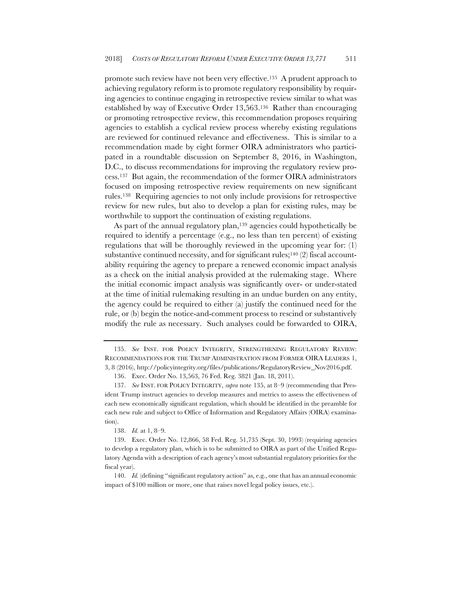promote such review have not been very effective.135 A prudent approach to achieving regulatory reform is to promote regulatory responsibility by requiring agencies to continue engaging in retrospective review similar to what was established by way of Executive Order 13,563.136 Rather than encouraging or promoting retrospective review, this recommendation proposes requiring agencies to establish a cyclical review process whereby existing regulations are reviewed for continued relevance and effectiveness. This is similar to a recommendation made by eight former OIRA administrators who participated in a roundtable discussion on September 8, 2016, in Washington, D.C., to discuss recommendations for improving the regulatory review process.137 But again, the recommendation of the former OIRA administrators focused on imposing retrospective review requirements on new significant rules.138 Requiring agencies to not only include provisions for retrospective review for new rules, but also to develop a plan for existing rules, may be worthwhile to support the continuation of existing regulations.

As part of the annual regulatory plan,<sup>139</sup> agencies could hypothetically be required to identify a percentage (e.g., no less than ten percent) of existing regulations that will be thoroughly reviewed in the upcoming year for: (1) substantive continued necessity, and for significant rules;<sup>140</sup> $(2)$  fiscal accountability requiring the agency to prepare a renewed economic impact analysis as a check on the initial analysis provided at the rulemaking stage. Where the initial economic impact analysis was significantly over- or under-stated at the time of initial rulemaking resulting in an undue burden on any entity, the agency could be required to either (a) justify the continued need for the rule, or (b) begin the notice-and-comment process to rescind or substantively modify the rule as necessary. Such analyses could be forwarded to OIRA,

138. *Id.* at 1, 8–9.

<sup>135.</sup> *See* INST. FOR POLICY INTEGRITY, STRENGTHENING REGULATORY REVIEW: RECOMMENDATIONS FOR THE TRUMP ADMINISTRATION FROM FORMER OIRA LEADERS 1, 3, 8 (2016), http://policyintegrity.org/files/publications/RegulatoryReview\_Nov2016.pdf.

<sup>136.</sup> Exec. Order No. 13,563, 76 Fed. Reg. 3821 (Jan. 18, 2011).

<sup>137.</sup> *See* INST. FOR POLICY INTEGRITY, *supra* note 135, at 8–9 (recommending that President Trump instruct agencies to develop measures and metrics to assess the effectiveness of each new economically significant regulation, which should be identified in the preamble for each new rule and subject to Office of Information and Regulatory Affairs (OIRA) examination).

<sup>139.</sup> Exec. Order No. 12,866, 58 Fed. Reg. 51,735 (Sept. 30, 1993) (requiring agencies to develop a regulatory plan, which is to be submitted to OIRA as part of the Unified Regulatory Agenda with a description of each agency's most substantial regulatory priorities for the fiscal year).

<sup>140.</sup> *Id.* (defining "significant regulatory action" as, e.g., one that has an annual economic impact of \$100 million or more, one that raises novel legal policy issues, etc.).